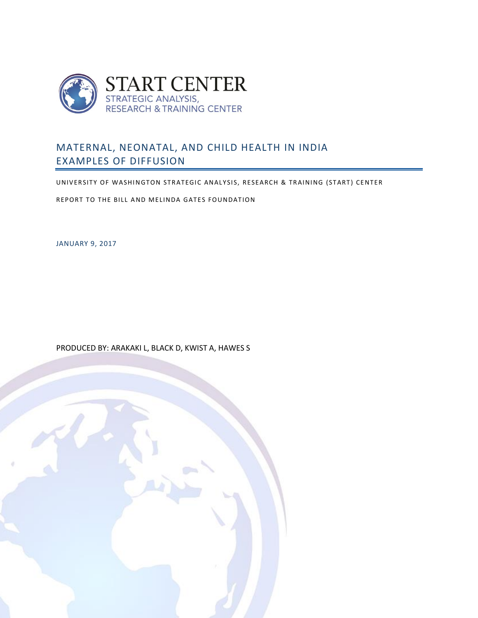

# MATERNAL, NEONATAL, AND CHILD HEALTH IN INDIA EXAMPLES OF DIFFUSION

UNIVERSITY OF WASHINGTON STRATEGIC ANALYSIS, RESEARCH & TRAINING (START) CENTER

REPORT TO THE BILL AND MELINDA GATES FOUNDATION

JANUARY 9, 2017

PRODUCED BY: ARAKAKI L, BLACK D, KWIST A, HAWES S

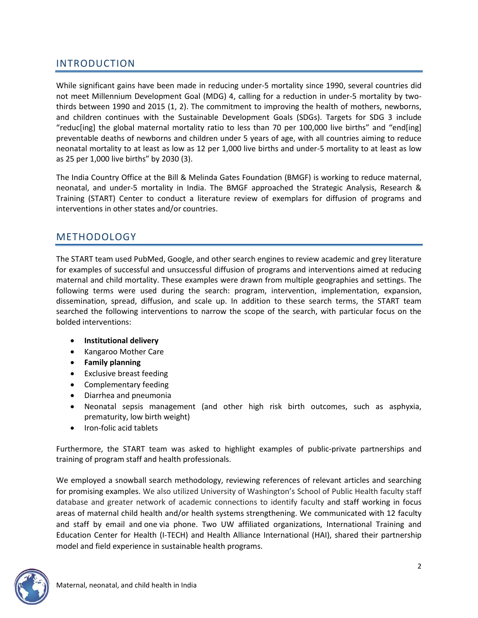# INTRODUCTION

While significant gains have been made in reducing under-5 mortality since 1990, several countries did not meet Millennium Development Goal (MDG) 4, calling for a reduction in under-5 mortality by twothirds between 1990 and 2015 (1, 2). The commitment to improving the health of mothers, newborns, and children continues with the Sustainable Development Goals (SDGs). Targets for SDG 3 include "reduc[ing] the global maternal mortality ratio to less than 70 per 100,000 live births" and "end[ing] preventable deaths of newborns and children under 5 years of age, with all countries aiming to reduce neonatal mortality to at least as low as 12 per 1,000 live births and under-5 mortality to at least as low as 25 per 1,000 live births" by 2030 (3).

The India Country Office at the Bill & Melinda Gates Foundation (BMGF) is working to reduce maternal, neonatal, and under-5 mortality in India. The BMGF approached the Strategic Analysis, Research & Training (START) Center to conduct a literature review of exemplars for diffusion of programs and interventions in other states and/or countries.

# METHODOLOGY

The START team used PubMed, Google, and other search engines to review academic and grey literature for examples of successful and unsuccessful diffusion of programs and interventions aimed at reducing maternal and child mortality. These examples were drawn from multiple geographies and settings. The following terms were used during the search: program, intervention, implementation, expansion, dissemination, spread, diffusion, and scale up. In addition to these search terms, the START team searched the following interventions to narrow the scope of the search, with particular focus on the bolded interventions:

- **Institutional delivery**
- Kangaroo Mother Care
- **Family planning**
- Exclusive breast feeding
- Complementary feeding
- Diarrhea and pneumonia
- Neonatal sepsis management (and other high risk birth outcomes, such as asphyxia, prematurity, low birth weight)
- Iron-folic acid tablets

Furthermore, the START team was asked to highlight examples of public-private partnerships and training of program staff and health professionals.

We employed a snowball search methodology, reviewing references of relevant articles and searching for promising examples. We also utilized University of Washington's School of Public Health faculty staff database and greater network of academic connections to identify faculty and staff working in focus areas of maternal child health and/or health systems strengthening. We communicated with 12 faculty and staff by email and one via phone. Two UW affiliated organizations, International Training and Education Center for Health (I-TECH) and Health Alliance International (HAI), shared their partnership model and field experience in sustainable health programs.

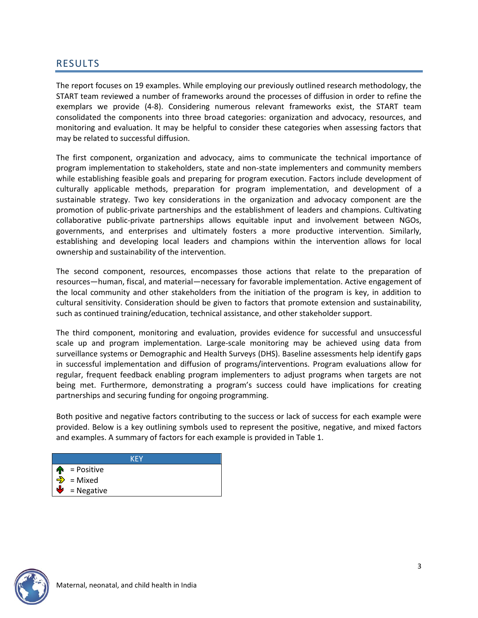## RESULTS

The report focuses on 19 examples. While employing our previously outlined research methodology, the START team reviewed a number of frameworks around the processes of diffusion in order to refine the exemplars we provide (4-8). Considering numerous relevant frameworks exist, the START team consolidated the components into three broad categories: organization and advocacy, resources, and monitoring and evaluation. It may be helpful to consider these categories when assessing factors that may be related to successful diffusion.

The first component, organization and advocacy, aims to communicate the technical importance of program implementation to stakeholders, state and non-state implementers and community members while establishing feasible goals and preparing for program execution. Factors include development of culturally applicable methods, preparation for program implementation, and development of a sustainable strategy. Two key considerations in the organization and advocacy component are the promotion of public-private partnerships and the establishment of leaders and champions. Cultivating collaborative public-private partnerships allows equitable input and involvement between NGOs, governments, and enterprises and ultimately fosters a more productive intervention. Similarly, establishing and developing local leaders and champions within the intervention allows for local ownership and sustainability of the intervention.

The second component, resources, encompasses those actions that relate to the preparation of resources—human, fiscal, and material—necessary for favorable implementation. Active engagement of the local community and other stakeholders from the initiation of the program is key, in addition to cultural sensitivity. Consideration should be given to factors that promote extension and sustainability, such as continued training/education, technical assistance, and other stakeholder support.

The third component, monitoring and evaluation, provides evidence for successful and unsuccessful scale up and program implementation. Large-scale monitoring may be achieved using data from surveillance systems or Demographic and Health Surveys (DHS). Baseline assessments help identify gaps in successful implementation and diffusion of programs/interventions. Program evaluations allow for regular, frequent feedback enabling program implementers to adjust programs when targets are not being met. Furthermore, demonstrating a program's success could have implications for creating partnerships and securing funding for ongoing programming.

Both positive and negative factors contributing to the success or lack of success for each example were provided. Below is a key outlining symbols used to represent the positive, negative, and mixed factors and examples. A summary of factors for each example is provided in Table 1.

| KFY                           |
|-------------------------------|
| $\mathbf{\hat{P}}$ = Positive |
| $\Rightarrow$ = Mixed         |
| $\mathbf{V}$ = Negative       |

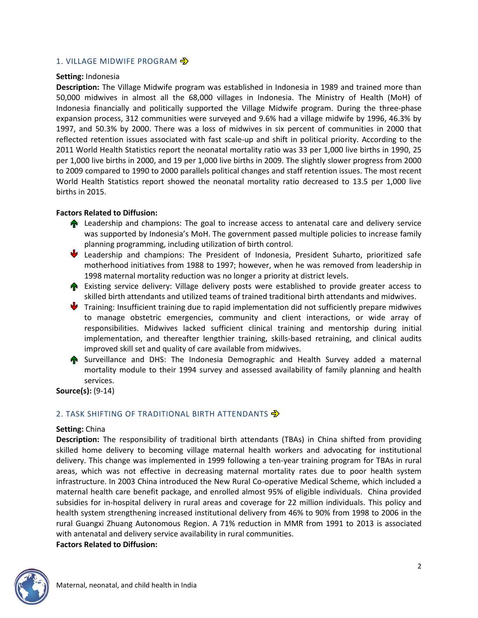### 1. VILLAGE MIDWIFE PROGRAM  $\Rightarrow$

### **Setting:** Indonesia

**Description:** The Village Midwife program was established in Indonesia in 1989 and trained more than 50,000 midwives in almost all the 68,000 villages in Indonesia. The Ministry of Health (MoH) of Indonesia financially and politically supported the Village Midwife program. During the three-phase expansion process, 312 communities were surveyed and 9.6% had a village midwife by 1996, 46.3% by 1997, and 50.3% by 2000. There was a loss of midwives in six percent of communities in 2000 that reflected retention issues associated with fast scale-up and shift in political priority. According to the 2011 World Health Statistics report the neonatal mortality ratio was 33 per 1,000 live births in 1990, 25 per 1,000 live births in 2000, and 19 per 1,000 live births in 2009. The slightly slower progress from 2000 to 2009 compared to 1990 to 2000 parallels political changes and staff retention issues. The most recent World Health Statistics report showed the neonatal mortality ratio decreased to 13.5 per 1,000 live births in 2015.

### **Factors Related to Diffusion:**

- **A** Leadership and champions: The goal to increase access to antenatal care and delivery service was supported by Indonesia's MoH. The government passed multiple policies to increase family planning programming, including utilization of birth control.
- Leadership and champions: The President of Indonesia, President Suharto, prioritized safe motherhood initiatives from 1988 to 1997; however, when he was removed from leadership in 1998 maternal mortality reduction was no longer a priority at district levels.
- **The Existing service delivery: Village delivery posts were established to provide greater access to** skilled birth attendants and utilized teams of trained traditional birth attendants and midwives.
- **V** Training: Insufficient training due to rapid implementation did not sufficiently prepare midwives to manage obstetric emergencies, community and client interactions, or wide array of responsibilities. Midwives lacked sufficient clinical training and mentorship during initial implementation, and thereafter lengthier training, skills-based retraining, and clinical audits improved skill set and quality of care available from midwives.
- **A** Surveillance and DHS: The Indonesia Demographic and Health Survey added a maternal mortality module to their 1994 survey and assessed availability of family planning and health services.

**Source(s):** (9-14)

## 2. TASK SHIFTING OF TRADITIONAL BIRTH ATTENDANTS  $\overrightarrow{2}$

### **Setting:** China

**Description:** The responsibility of traditional birth attendants (TBAs) in China shifted from providing skilled home delivery to becoming village maternal health workers and advocating for institutional delivery. This change was implemented in 1999 following a ten-year training program for TBAs in rural areas, which was not effective in decreasing maternal mortality rates due to poor health system infrastructure. In 2003 China introduced the New Rural Co-operative Medical Scheme, which included a maternal health care benefit package, and enrolled almost 95% of eligible individuals. China provided subsidies for in-hospital delivery in rural areas and coverage for 22 million individuals. This policy and health system strengthening increased institutional delivery from 46% to 90% from 1998 to 2006 in the rural Guangxi Zhuang Autonomous Region. A 71% reduction in MMR from 1991 to 2013 is associated with antenatal and delivery service availability in rural communities. **Factors Related to Diffusion:** 

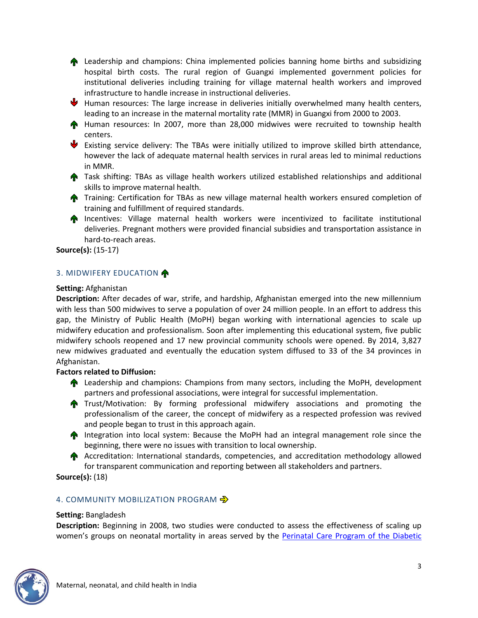**A** Leadership and champions: China implemented policies banning home births and subsidizing hospital birth costs. The rural region of Guangxi implemented government policies for institutional deliveries including training for village maternal health workers and improved infrastructure to handle increase in instructional deliveries.

- $\blacklozenge$  Human resources: The large increase in deliveries initially overwhelmed many health centers, leading to an increase in the maternal mortality rate (MMR) in Guangxi from 2000 to 2003.
- **A** Human resources: In 2007, more than 28,000 midwives were recruited to township health centers.
- Existing service delivery: The TBAs were initially utilized to improve skilled birth attendance, however the lack of adequate maternal health services in rural areas led to minimal reductions in MMR.
- **The Task shifting: TBAs as village health workers utilized established relationships and additional** skills to improve maternal health.
- Training: Certification for TBAs as new village maternal health workers ensured completion of training and fulfillment of required standards.
- **Incentives: Village maternal health workers were incentivized to facilitate institutional** deliveries. Pregnant mothers were provided financial subsidies and transportation assistance in hard-to-reach areas.

**Source(s):** (15-17)

## 3. MIDWIFERY EDUCATION

### **Setting:** Afghanistan

**Description:** After decades of war, strife, and hardship, Afghanistan emerged into the new millennium with less than 500 midwives to serve a population of over 24 million people. In an effort to address this gap, the Ministry of Public Health (MoPH) began working with international agencies to scale up midwifery education and professionalism. Soon after implementing this educational system, five public midwifery schools reopened and 17 new provincial community schools were opened. By 2014, 3,827 new midwives graduated and eventually the education system diffused to 33 of the 34 provinces in Afghanistan.

## **Factors related to Diffusion:**

- **A** Leadership and champions: Champions from many sectors, including the MoPH, development partners and professional associations, were integral for successful implementation.
- **Trust/Motivation:** By forming professional midwifery associations and promoting the professionalism of the career, the concept of midwifery as a respected profession was revived and people began to trust in this approach again.
- **Integration into local system: Because the MoPH had an integral management role since the** beginning, there were no issues with transition to local ownership.
- Accreditation: International standards, competencies, and accreditation methodology allowed for transparent communication and reporting between all stakeholders and partners.

**Source(s):** (18)

## 4. COMMUNITY MOBILIZATION PROGRAM →

### **Setting:** Bangladesh

**Description:** Beginning in 2008, two studies were conducted to assess the effectiveness of scaling up women's groups on neonatal mortality in areas served by the Perinatal Care Program of the Diabetic

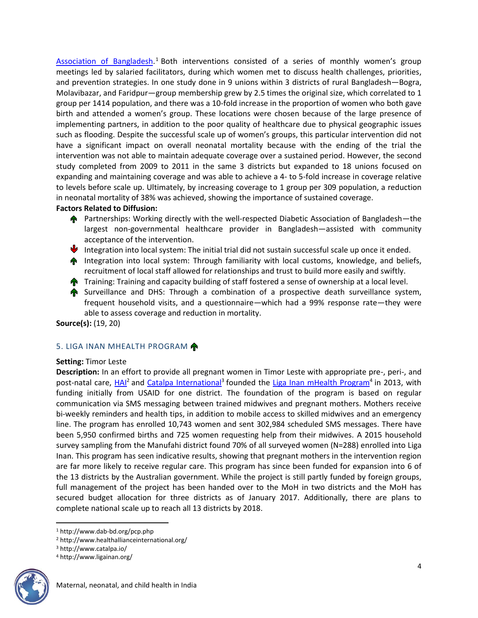[Association of](http://www.dab-bd.org/pcp.php) Bangladesh.<sup>1</sup> Both interventions consisted of a series of monthly women's group meetings led by salaried facilitators, during which women met to discuss health challenges, priorities, and prevention strategies. In one study done in 9 unions within 3 districts of rural Bangladesh—Bogra, Molavibazar, and Faridpur—group membership grew by 2.5 times the original size, which correlated to 1 group per 1414 population, and there was a 10-fold increase in the proportion of women who both gave birth and attended a women's group. These locations were chosen because of the large presence of implementing partners, in addition to the poor quality of healthcare due to physical geographic issues such as flooding. Despite the successful scale up of women's groups, this particular intervention did not have a significant impact on overall neonatal mortality because with the ending of the trial the intervention was not able to maintain adequate coverage over a sustained period. However, the second study completed from 2009 to 2011 in the same 3 districts but expanded to 18 unions focused on expanding and maintaining coverage and was able to achieve a 4- to 5-fold increase in coverage relative to levels before scale up. Ultimately, by increasing coverage to 1 group per 309 population, a reduction in neonatal mortality of 38% was achieved, showing the importance of sustained coverage.

### **Factors Related to Diffusion:**

- **A** Partnerships: Working directly with the well-respected Diabetic Association of Bangladesh—the largest non-governmental healthcare provider in Bangladesh—assisted with community acceptance of the intervention.
- Integration into local system: The initial trial did not sustain successful scale up once it ended.
- **Integration into local system: Through familiarity with local customs, knowledge, and beliefs,** recruitment of local staff allowed for relationships and trust to build more easily and swiftly.
- **Training: Training and capacity building of staff fostered a sense of ownership at a local level.**
- Surveillance and DHS: Through a combination of a prospective death surveillance system, frequent household visits, and a questionnaire—which had a 99% response rate—they were able to assess coverage and reduction in mortality.

**Source(s):** (19, 20)

### 5. LIGA INAN MHEALTH PROGRAM

#### **Setting:** Timor Leste

**Description:** In an effort to provide all pregnant women in Timor Leste with appropriate pre-, peri-, and post-natal care, <u>HAI</u><sup>2</sup> and *Catalpa International*<sup>3</sup> founded the [Liga Inan mHealth Program](http://www.ligainan.org/)<sup>4</sup> in 2013, with funding initially from USAID for one district. The foundation of the program is based on regular communication via SMS messaging between trained midwives and pregnant mothers. Mothers receive bi-weekly reminders and health tips, in addition to mobile access to skilled midwives and an emergency line. The program has enrolled 10,743 women and sent 302,984 scheduled SMS messages. There have been 5,950 confirmed births and 725 women requesting help from their midwives. A 2015 household survey sampling from the Manufahi district found 70% of all surveyed women (N=288) enrolled into Liga Inan. This program has seen indicative results, showing that pregnant mothers in the intervention region are far more likely to receive regular care. This program has since been funded for expansion into 6 of the 13 districts by the Australian government. While the project is still partly funded by foreign groups, full management of the project has been handed over to the MoH in two districts and the MoH has secured budget allocation for three districts as of January 2017. Additionally, there are plans to complete national scale up to reach all 13 districts by 2018.

<sup>4</sup> http://www.ligainan.org/



 $\overline{\phantom{a}}$ 

<sup>1</sup> http://www.dab-bd.org/pcp.php

<sup>2</sup> http://www.healthallianceinternational.org/

<sup>3</sup> http://www.catalpa.io/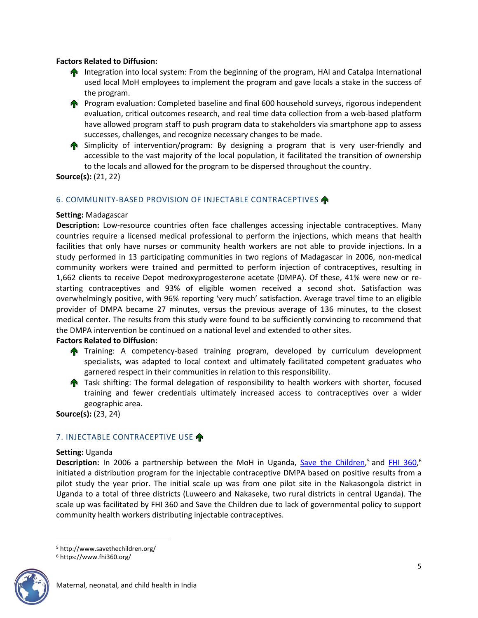### **Factors Related to Diffusion:**

- **Integration into local system: From the beginning of the program, HAI and Catalpa International** used local MoH employees to implement the program and gave locals a stake in the success of the program.
- **Program evaluation: Completed baseline and final 600 household surveys, rigorous independent** evaluation, critical outcomes research, and real time data collection from a web-based platform have allowed program staff to push program data to stakeholders via smartphone app to assess successes, challenges, and recognize necessary changes to be made.
- **A** Simplicity of intervention/program: By designing a program that is very user-friendly and accessible to the vast majority of the local population, it facilitated the transition of ownership to the locals and allowed for the program to be dispersed throughout the country.

## **Source(s):** (21, 22)

### 6. COMMUNITY-BASED PROVISION OF INJECTABLE CONTRACEPTIVES

### **Setting:** Madagascar

**Description:** Low-resource countries often face challenges accessing injectable contraceptives. Many countries require a licensed medical professional to perform the injections, which means that health facilities that only have nurses or community health workers are not able to provide injections. In a study performed in 13 participating communities in two regions of Madagascar in 2006, non-medical community workers were trained and permitted to perform injection of contraceptives, resulting in 1,662 clients to receive Depot medroxyprogesterone acetate (DMPA). Of these, 41% were new or restarting contraceptives and 93% of eligible women received a second shot. Satisfaction was overwhelmingly positive, with 96% reporting 'very much' satisfaction. Average travel time to an eligible provider of DMPA became 27 minutes, versus the previous average of 136 minutes, to the closest medical center. The results from this study were found to be sufficiently convincing to recommend that the DMPA intervention be continued on a national level and extended to other sites.

### **Factors Related to Diffusion:**

- **Training: A competency-based training program, developed by curriculum development** specialists, was adapted to local context and ultimately facilitated competent graduates who garnered respect in their communities in relation to this responsibility.
- **The Task shifting: The formal delegation of responsibility to health workers with shorter, focused** training and fewer credentials ultimately increased access to contraceptives over a wider geographic area.

**Source(s):** (23, 24)

## 7. INJECTABLE CONTRACEPTIVE USE

### **Setting:** Uganda

Description: In 2006 a partnership between the MoH in Uganda, [Save the Children,](http://www.savethechildren.org/)<sup>5</sup> and [FHI 360,](https://www.fhi360.org/)<sup>6</sup> initiated a distribution program for the injectable contraceptive DMPA based on positive results from a pilot study the year prior. The initial scale up was from one pilot site in the Nakasongola district in Uganda to a total of three districts (Luweero and Nakaseke, two rural districts in central Uganda). The scale up was facilitated by FHI 360 and Save the Children due to lack of governmental policy to support community health workers distributing injectable contraceptives.

<sup>6</sup> https://www.fhi360.org/



<sup>5</sup> http://www.savethechildren.org/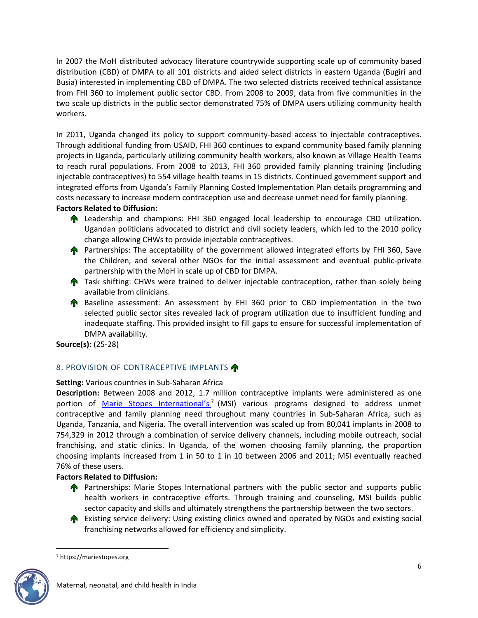In 2007 the MoH distributed advocacy literature countrywide supporting scale up of community based distribution (CBD) of DMPA to all 101 districts and aided select districts in eastern Uganda (Bugiri and Busia) interested in implementing CBD of DMPA. The two selected districts received technical assistance from FHI 360 to implement public sector CBD. From 2008 to 2009, data from five communities in the two scale up districts in the public sector demonstrated 75% of DMPA users utilizing community health workers.

In 2011, Uganda changed its policy to support community-based access to injectable contraceptives. Through additional funding from USAID, FHI 360 continues to expand community based family planning projects in Uganda, particularly utilizing community health workers, also known as Village Health Teams to reach rural populations. From 2008 to 2013, FHI 360 provided family planning training (including injectable contraceptives) to 554 village health teams in 15 districts. Continued government support and integrated efforts from Uganda's Family Planning Costed Implementation Plan details programming and costs necessary to increase modern contraception use and decrease unmet need for family planning.

## **Factors Related to Diffusion:**

- **A** Leadership and champions: FHI 360 engaged local leadership to encourage CBD utilization. Ugandan politicians advocated to district and civil society leaders, which led to the 2010 policy change allowing CHWs to provide injectable contraceptives.
- **Partnerships: The acceptability of the government allowed integrated efforts by FHI 360, Save** the Children, and several other NGOs for the initial assessment and eventual public-private partnership with the MoH in scale up of CBD for DMPA.
- **The Studing CHWs were trained to deliver injectable contraception, rather than solely being** available from clinicians.
- **A** Baseline assessment: An assessment by FHI 360 prior to CBD implementation in the two selected public sector sites revealed lack of program utilization due to insufficient funding and inadequate staffing. This provided insight to fill gaps to ensure for successful implementation of DMPA availability.

**Source(s):** (25-28)

## 8. PROVISION OF CONTRACEPTIVE IMPLANTS

## **Setting:** Various countries in Sub-Saharan Africa

**Description:** Between 2008 and 2012, 1.7 million contraceptive implants were administered as one portion of *[Marie Stopes International's](https://mariestopes.org/)*<sup>7</sup> (MSI) various programs designed to address unmet contraceptive and family planning need throughout many countries in Sub-Saharan Africa, such as Uganda, Tanzania, and Nigeria. The overall intervention was scaled up from 80,041 implants in 2008 to 754,329 in 2012 through a combination of service delivery channels, including mobile outreach, social franchising, and static clinics. In Uganda, of the women choosing family planning, the proportion choosing implants increased from 1 in 50 to 1 in 10 between 2006 and 2011; MSI eventually reached 76% of these users.

## **Factors Related to Diffusion:**

- **Partnerships: Marie Stopes International partners with the public sector and supports public** health workers in contraceptive efforts. Through training and counseling, MSI builds public sector capacity and skills and ultimately strengthens the partnership between the two sectors.
- **A** Existing service delivery: Using existing clinics owned and operated by NGOs and existing social franchising networks allowed for efficiency and simplicity.

<sup>7</sup> https://mariestopes.org

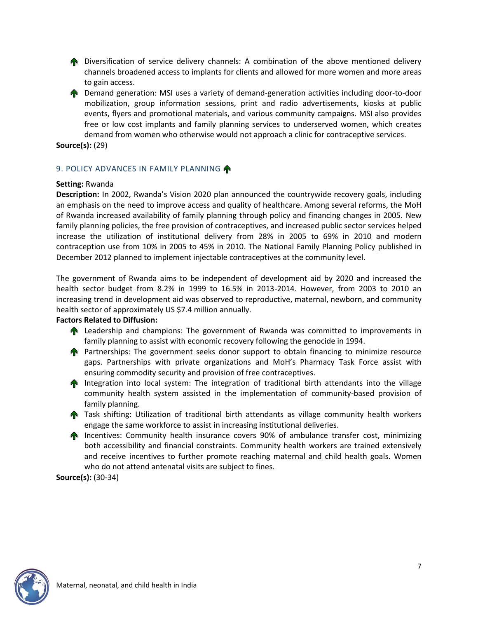**The Diversification of service delivery channels:** A combination of the above mentioned delivery channels broadened access to implants for clients and allowed for more women and more areas to gain access.

**P** Demand generation: MSI uses a variety of demand-generation activities including door-to-door mobilization, group information sessions, print and radio advertisements, kiosks at public events, flyers and promotional materials, and various community campaigns. MSI also provides free or low cost implants and family planning services to underserved women, which creates demand from women who otherwise would not approach a clinic for contraceptive services.

**Source(s):** (29)

## 9. POLICY ADVANCES IN FAMILY PLANNING

### **Setting:** Rwanda

**Description:** In 2002, Rwanda's Vision 2020 plan announced the countrywide recovery goals, including an emphasis on the need to improve access and quality of healthcare. Among several reforms, the MoH of Rwanda increased availability of family planning through policy and financing changes in 2005. New family planning policies, the free provision of contraceptives, and increased public sector services helped increase the utilization of institutional delivery from 28% in 2005 to 69% in 2010 and modern contraception use from 10% in 2005 to 45% in 2010. The National Family Planning Policy published in December 2012 planned to implement injectable contraceptives at the community level.

The government of Rwanda aims to be independent of development aid by 2020 and increased the health sector budget from 8.2% in 1999 to 16.5% in 2013-2014. However, from 2003 to 2010 an increasing trend in development aid was observed to reproductive, maternal, newborn, and community health sector of approximately US \$7.4 million annually.

### **Factors Related to Diffusion:**

- **A** Leadership and champions: The government of Rwanda was committed to improvements in family planning to assist with economic recovery following the genocide in 1994.
- **Partnerships:** The government seeks donor support to obtain financing to minimize resource gaps. Partnerships with private organizations and MoH's Pharmacy Task Force assist with ensuring commodity security and provision of free contraceptives.
- **The Integration into local system:** The integration of traditional birth attendants into the village community health system assisted in the implementation of community-based provision of family planning.
- **The Task shifting: Utilization of traditional birth attendants as village community health workers** engage the same workforce to assist in increasing institutional deliveries.
- **Incentives: Community health insurance covers 90% of ambulance transfer cost, minimizing** both accessibility and financial constraints. Community health workers are trained extensively and receive incentives to further promote reaching maternal and child health goals. Women who do not attend antenatal visits are subject to fines.

**Source(s):** (30-34)

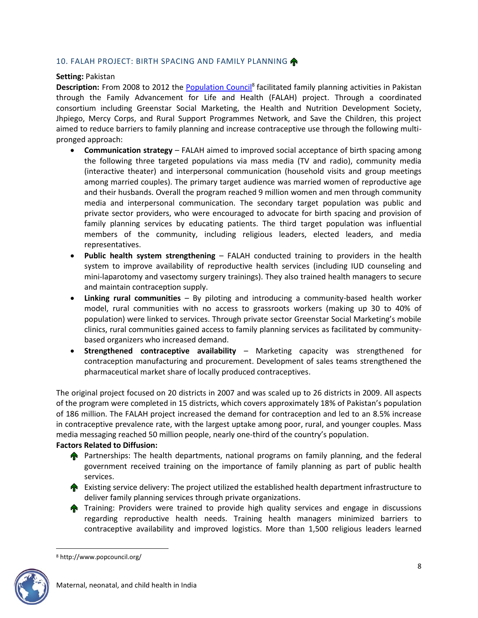## 10. FALAH PROJECT: BIRTH SPACING AND FAMILY PLANNING

### **Setting:** Pakistan

Description: From 2008 to 2012 the **Population Council<sup>8</sup> facilitated family planning activities in Pakistan** through the Family Advancement for Life and Health (FALAH) project. Through a coordinated consortium including Greenstar Social Marketing, the Health and Nutrition Development Society, Jhpiego, Mercy Corps, and Rural Support Programmes Network, and Save the Children, this project aimed to reduce barriers to family planning and increase contraceptive use through the following multipronged approach:

- **Communication strategy** FALAH aimed to improved social acceptance of birth spacing among the following three targeted populations via mass media (TV and radio), community media (interactive theater) and interpersonal communication (household visits and group meetings among married couples). The primary target audience was married women of reproductive age and their husbands. Overall the program reached 9 million women and men through community media and interpersonal communication. The secondary target population was public and private sector providers, who were encouraged to advocate for birth spacing and provision of family planning services by educating patients. The third target population was influential members of the community, including religious leaders, elected leaders, and media representatives.
- **Public health system strengthening** FALAH conducted training to providers in the health system to improve availability of reproductive health services (including IUD counseling and mini-laparotomy and vasectomy surgery trainings). They also trained health managers to secure and maintain contraception supply.
- **Linking rural communities** By piloting and introducing a community-based health worker model, rural communities with no access to grassroots workers (making up 30 to 40% of population) were linked to services. Through private sector Greenstar Social Marketing's mobile clinics, rural communities gained access to family planning services as facilitated by communitybased organizers who increased demand.
- **Strengthened contraceptive availability** Marketing capacity was strengthened for contraception manufacturing and procurement. Development of sales teams strengthened the pharmaceutical market share of locally produced contraceptives.

The original project focused on 20 districts in 2007 and was scaled up to 26 districts in 2009. All aspects of the program were completed in 15 districts, which covers approximately 18% of Pakistan's population of 186 million. The FALAH project increased the demand for contraception and led to an 8.5% increase in contraceptive prevalence rate, with the largest uptake among poor, rural, and younger couples. Mass media messaging reached 50 million people, nearly one-third of the country's population.

### **Factors Related to Diffusion:**

- **A** Partnerships: The health departments, national programs on family planning, and the federal government received training on the importance of family planning as part of public health services.
- **A** Existing service delivery: The project utilized the established health department infrastructure to deliver family planning services through private organizations.
- **The Training: Providers were trained to provide high quality services and engage in discussions** regarding reproductive health needs. Training health managers minimized barriers to contraceptive availability and improved logistics. More than 1,500 religious leaders learned

<sup>8</sup> http://www.popcouncil.org/

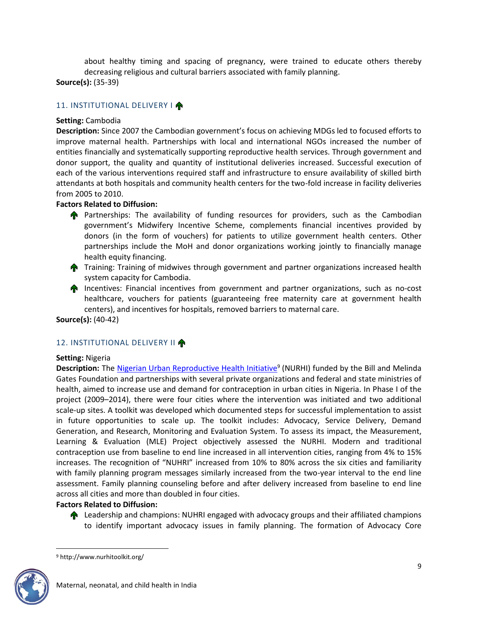about healthy timing and spacing of pregnancy, were trained to educate others thereby decreasing religious and cultural barriers associated with family planning.

**Source(s):** (35-39)

## 11. INSTITUTIONAL DELIVERY I

## **Setting:** Cambodia

**Description:** Since 2007 the Cambodian government's focus on achieving MDGs led to focused efforts to improve maternal health. Partnerships with local and international NGOs increased the number of entities financially and systematically supporting reproductive health services. Through government and donor support, the quality and quantity of institutional deliveries increased. Successful execution of each of the various interventions required staff and infrastructure to ensure availability of skilled birth attendants at both hospitals and community health centers for the two-fold increase in facility deliveries from 2005 to 2010.

## **Factors Related to Diffusion:**

- **Partnerships:** The availability of funding resources for providers, such as the Cambodian government's Midwifery Incentive Scheme, complements financial incentives provided by donors (in the form of vouchers) for patients to utilize government health centers. Other partnerships include the MoH and donor organizations working jointly to financially manage health equity financing.
- **Training: Training of midwives through government and partner organizations increased health** system capacity for Cambodia.
- **Incentives: Financial incentives from government and partner organizations, such as no-cost** healthcare, vouchers for patients (guaranteeing free maternity care at government health centers), and incentives for hospitals, removed barriers to maternal care.

**Source(s):** (40-42)

## 12. INSTITUTIONAL DELIVERY II

### **Setting:** Nigeria

**Description:** The **Nigerian Urban Reproductive Health Initiative**<sup>9</sup> (NURHI) funded by the Bill and Melinda Gates Foundation and partnerships with several private organizations and federal and state ministries of health, aimed to increase use and demand for contraception in urban cities in Nigeria. In Phase I of the project (2009–2014), there were four cities where the intervention was initiated and two additional scale-up sites. A toolkit was developed which documented steps for successful implementation to assist in future opportunities to scale up. The toolkit includes: Advocacy, Service Delivery, Demand Generation, and Research, Monitoring and Evaluation System. To assess its impact, the Measurement, Learning & Evaluation (MLE) Project objectively assessed the NURHI. Modern and traditional contraception use from baseline to end line increased in all intervention cities, ranging from 4% to 15% increases. The recognition of "NUHRI" increased from 10% to 80% across the six cities and familiarity with family planning program messages similarly increased from the two-year interval to the end line assessment. Family planning counseling before and after delivery increased from baseline to end line across all cities and more than doubled in four cities.

### **Factors Related to Diffusion:**

**A** Leadership and champions: NUHRI engaged with advocacy groups and their affiliated champions to identify important advocacy issues in family planning. The formation of Advocacy Core

<sup>9</sup> http://www.nurhitoolkit.org/

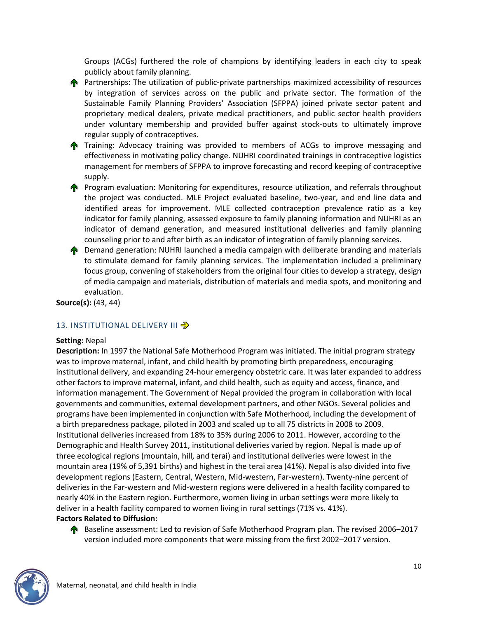Groups (ACGs) furthered the role of champions by identifying leaders in each city to speak publicly about family planning.



- **Training: Advocacy training was provided to members of ACGs to improve messaging and** effectiveness in motivating policy change. NUHRI coordinated trainings in contraceptive logistics management for members of SFPPA to improve forecasting and record keeping of contraceptive supply.
- **Program evaluation: Monitoring for expenditures, resource utilization, and referrals throughout** the project was conducted. MLE Project evaluated baseline, two-year, and end line data and identified areas for improvement. MLE collected contraception prevalence ratio as a key indicator for family planning, assessed exposure to family planning information and NUHRI as an indicator of demand generation, and measured institutional deliveries and family planning counseling prior to and after birth as an indicator of integration of family planning services.
- **The Demand generation: NUHRI launched a media campaign with deliberate branding and materials** to stimulate demand for family planning services. The implementation included a preliminary focus group, convening of stakeholders from the original four cities to develop a strategy, design of media campaign and materials, distribution of materials and media spots, and monitoring and evaluation.

**Source(s):** (43, 44)

## 13. INSTITUTIONAL DELIVERY III <

### **Setting:** Nepal

**Description:** In 1997 the National Safe Motherhood Program was initiated. The initial program strategy was to improve maternal, infant, and child health by promoting birth preparedness, encouraging institutional delivery, and expanding 24-hour emergency obstetric care. It was later expanded to address other factors to improve maternal, infant, and child health, such as equity and access, finance, and information management. The Government of Nepal provided the program in collaboration with local governments and communities, external development partners, and other NGOs. Several policies and programs have been implemented in conjunction with Safe Motherhood, including the development of a birth preparedness package, piloted in 2003 and scaled up to all 75 districts in 2008 to 2009. Institutional deliveries increased from 18% to 35% during 2006 to 2011. However, according to the Demographic and Health Survey 2011, institutional deliveries varied by region. Nepal is made up of three ecological regions (mountain, hill, and terai) and institutional deliveries were lowest in the mountain area (19% of 5,391 births) and highest in the terai area (41%). Nepal is also divided into five development regions (Eastern, Central, Western, Mid-western, Far-western). Twenty-nine percent of deliveries in the Far-western and Mid-western regions were delivered in a health facility compared to nearly 40% in the Eastern region. Furthermore, women living in urban settings were more likely to deliver in a health facility compared to women living in rural settings (71% vs. 41%).

## **Factors Related to Diffusion:**

**A** Baseline assessment: Led to revision of Safe Motherhood Program plan. The revised 2006–2017 version included more components that were missing from the first 2002–2017 version.

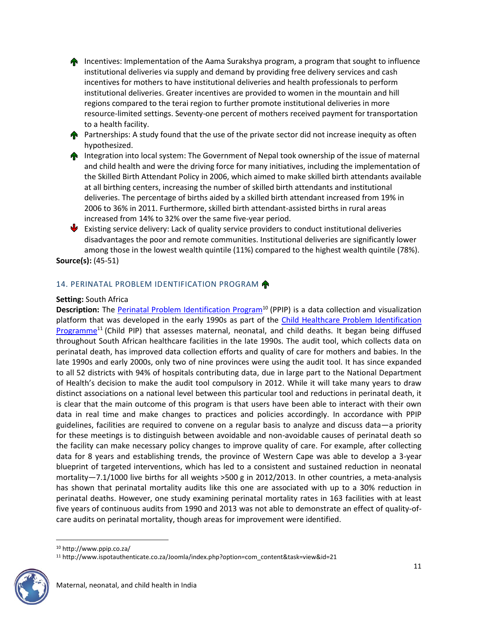**Incentives: Implementation of the Aama Surakshya program, a program that sought to influence** institutional deliveries via supply and demand by providing free delivery services and cash incentives for mothers to have institutional deliveries and health professionals to perform institutional deliveries. Greater incentives are provided to women in the mountain and hill regions compared to the terai region to further promote institutional deliveries in more resource-limited settings. Seventy-one percent of mothers received payment for transportation to a health facility.

**Partnerships:** A study found that the use of the private sector did not increase inequity as often hypothesized.

**The Integration into local system: The Government of Nepal took ownership of the issue of maternal** and child health and were the driving force for many initiatives, including the implementation of the Skilled Birth Attendant Policy in 2006, which aimed to make skilled birth attendants available at all birthing centers, increasing the number of skilled birth attendants and institutional deliveries. The percentage of births aided by a skilled birth attendant increased from 19% in 2006 to 36% in 2011. Furthermore, skilled birth attendant-assisted births in rural areas increased from 14% to 32% over the same five-year period.

 $\blacktriangleright$  Existing service delivery: Lack of quality service providers to conduct institutional deliveries disadvantages the poor and remote communities. Institutional deliveries are significantly lower among those in the lowest wealth quintile (11%) compared to the highest wealth quintile (78%). **Source(s):** (45-51)

14. PERINATAL PROBLEM IDENTIFICATION PROGRAM

### **Setting:** South Africa

**Description:** The [Perinatal Problem Identification Program](http://www.ppip.co.za/)<sup>10</sup> (PPIP) is a data collection and visualization platform that was developed in the early 1990s as part of the [Child Healthcare Problem Identification](http://www.ispotauthenticate.co.za/Joomla/index.php?option=com_content&task=view&id=21)  [Programme](http://www.ispotauthenticate.co.za/Joomla/index.php?option=com_content&task=view&id=21)<sup>11</sup> (Child PIP) that assesses maternal, neonatal, and child deaths. It began being diffused throughout South African healthcare facilities in the late 1990s. The audit tool, which collects data on perinatal death, has improved data collection efforts and quality of care for mothers and babies. In the late 1990s and early 2000s, only two of nine provinces were using the audit tool. It has since expanded to all 52 districts with 94% of hospitals contributing data, due in large part to the National Department of Health's decision to make the audit tool compulsory in 2012. While it will take many years to draw distinct associations on a national level between this particular tool and reductions in perinatal death, it is clear that the main outcome of this program is that users have been able to interact with their own data in real time and make changes to practices and policies accordingly. In accordance with PPIP guidelines, facilities are required to convene on a regular basis to analyze and discuss data—a priority for these meetings is to distinguish between avoidable and non-avoidable causes of perinatal death so the facility can make necessary policy changes to improve quality of care. For example, after collecting data for 8 years and establishing trends, the province of Western Cape was able to develop a 3-year blueprint of targeted interventions, which has led to a consistent and sustained reduction in neonatal mortality—7.1/1000 live births for all weights >500 g in 2012/2013. In other countries, a meta-analysis has shown that perinatal mortality audits like this one are associated with up to a 30% reduction in perinatal deaths. However, one study examining perinatal mortality rates in 163 facilities with at least five years of continuous audits from 1990 and 2013 was not able to demonstrate an effect of quality-ofcare audits on perinatal mortality, though areas for improvement were identified.

<sup>11</sup> http://www.ispotauthenticate.co.za/Joomla/index.php?option=com\_content&task=view&id=21



<sup>10</sup> http://www.ppip.co.za/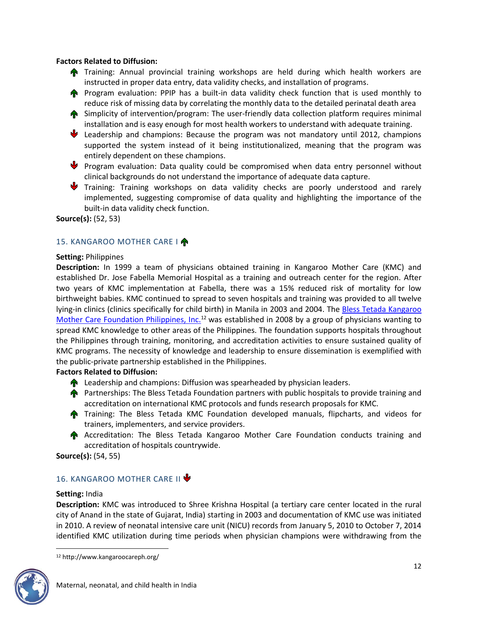### **Factors Related to Diffusion:**

- **Training: Annual provincial training workshops are held during which health workers are** instructed in proper data entry, data validity checks, and installation of programs.
- **Program evaluation: PPIP has a built-in data validity check function that is used monthly to** reduce risk of missing data by correlating the monthly data to the detailed perinatal death area
- **A** Simplicity of intervention/program: The user-friendly data collection platform requires minimal installation and is easy enough for most health workers to understand with adequate training.
- Leadership and champions: Because the program was not mandatory until 2012, champions supported the system instead of it being institutionalized, meaning that the program was entirely dependent on these champions.
- Program evaluation: Data quality could be compromised when data entry personnel without clinical backgrounds do not understand the importance of adequate data capture.
- Training: Training workshops on data validity checks are poorly understood and rarely implemented, suggesting compromise of data quality and highlighting the importance of the built-in data validity check function.

**Source(s):** (52, 53)

## 15. KANGAROO MOTHER CARE I

### **Setting:** Philippines

**Description:** In 1999 a team of physicians obtained training in Kangaroo Mother Care (KMC) and established Dr. Jose Fabella Memorial Hospital as a training and outreach center for the region. After two years of KMC implementation at Fabella, there was a 15% reduced risk of mortality for low birthweight babies. KMC continued to spread to seven hospitals and training was provided to all twelve lying-in clinics (clinics specifically for child birth) in Manila in 2003 and 2004. The Bless Tetada Kangaroo [Mother Care Foundation Philippines, Inc.](http://www.kangaroocareph.org/)<sup>12</sup> was established in 2008 by a group of physicians wanting to spread KMC knowledge to other areas of the Philippines. The foundation supports hospitals throughout the Philippines through training, monitoring, and accreditation activities to ensure sustained quality of KMC programs. The necessity of knowledge and leadership to ensure dissemination is exemplified with the public-private partnership established in the Philippines.

## **Factors Related to Diffusion:**

- **A** Leadership and champions: Diffusion was spearheaded by physician leaders.
- **Partnerships: The Bless Tetada Foundation partners with public hospitals to provide training and** accreditation on international KMC protocols and funds research proposals for KMC.
- **Training: The Bless Tetada KMC Foundation developed manuals, flipcharts, and videos for** trainers, implementers, and service providers.
- **A** Accreditation: The Bless Tetada Kangaroo Mother Care Foundation conducts training and accreditation of hospitals countrywide.

**Source(s):** (54, 55)

## 16. KANGAROO MOTHER CARE II V

### **Setting:** India

**Description:** KMC was introduced to Shree Krishna Hospital (a tertiary care center located in the rural city of Anand in the state of Gujarat, India) starting in 2003 and documentation of KMC use was initiated in 2010. A review of neonatal intensive care unit (NICU) records from January 5, 2010 to October 7, 2014 identified KMC utilization during time periods when physician champions were withdrawing from the

<sup>12</sup> http://www.kangaroocareph.org/

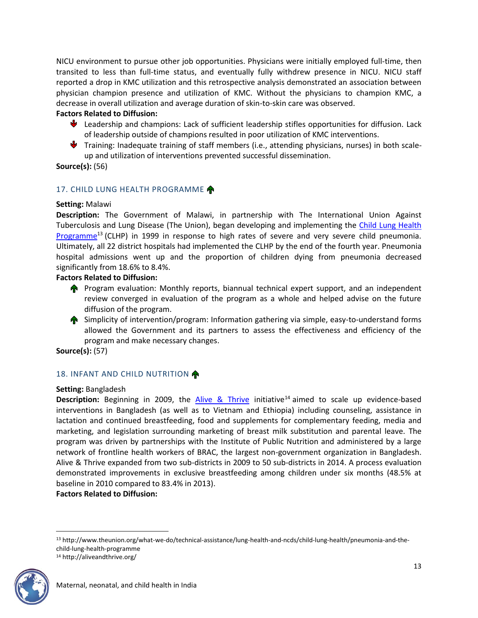NICU environment to pursue other job opportunities. Physicians were initially employed full-time, then transited to less than full-time status, and eventually fully withdrew presence in NICU. NICU staff reported a drop in KMC utilization and this retrospective analysis demonstrated an association between physician champion presence and utilization of KMC. Without the physicians to champion KMC, a decrease in overall utilization and average duration of skin-to-skin care was observed.

## **Factors Related to Diffusion:**

- Leadership and champions: Lack of sufficient leadership stifles opportunities for diffusion. Lack of leadership outside of champions resulted in poor utilization of KMC interventions.
- Training: Inadequate training of staff members (i.e., attending physicians, nurses) in both scaleup and utilization of interventions prevented successful dissemination.

**Source(s):** (56)

## 17. CHILD LUNG HEALTH PROGRAMME

### **Setting:** Malawi

**Description:** The Government of Malawi, in partnership with The International Union Against Tuberculosis and Lung Disease (The Union), began developing and implementing the Child Lung Health [Programme](http://www.theunion.org/what-we-do/technical-assistance/lung-health-and-ncds/child-lung-health/pneumonia-and-the-child-lung-health-programme)<sup>13</sup> (CLHP) in 1999 in response to high rates of severe and very severe child pneumonia. Ultimately, all 22 district hospitals had implemented the CLHP by the end of the fourth year. Pneumonia hospital admissions went up and the proportion of children dying from pneumonia decreased significantly from 18.6% to 8.4%.

### **Factors Related to Diffusion:**

- **Program evaluation: Monthly reports, biannual technical expert support, and an independent** review converged in evaluation of the program as a whole and helped advise on the future diffusion of the program.
- **A** Simplicity of intervention/program: Information gathering via simple, easy-to-understand forms allowed the Government and its partners to assess the effectiveness and efficiency of the program and make necessary changes.

**Source(s):** (57)

## 18. INFANT AND CHILD NUTRITION

### **Setting:** Bangladesh

**Description:** Beginning in 2009, the [Alive & Thrive](http://aliveandthrive.org/) initiative<sup>14</sup> aimed to scale up evidence-based interventions in Bangladesh (as well as to Vietnam and Ethiopia) including counseling, assistance in lactation and continued breastfeeding, food and supplements for complementary feeding, media and marketing, and legislation surrounding marketing of breast milk substitution and parental leave. The program was driven by partnerships with the Institute of Public Nutrition and administered by a large network of frontline health workers of BRAC, the largest non-government organization in Bangladesh. Alive & Thrive expanded from two sub-districts in 2009 to 50 sub-districts in 2014. A process evaluation demonstrated improvements in exclusive breastfeeding among children under six months (48.5% at baseline in 2010 compared to 83.4% in 2013).

**Factors Related to Diffusion:**

<sup>13</sup> http://www.theunion.org/what-we-do/technical-assistance/lung-health-and-ncds/child-lung-health/pneumonia-and-thechild-lung-health-programme <sup>14</sup> http://aliveandthrive.org/



 $\overline{\phantom{a}}$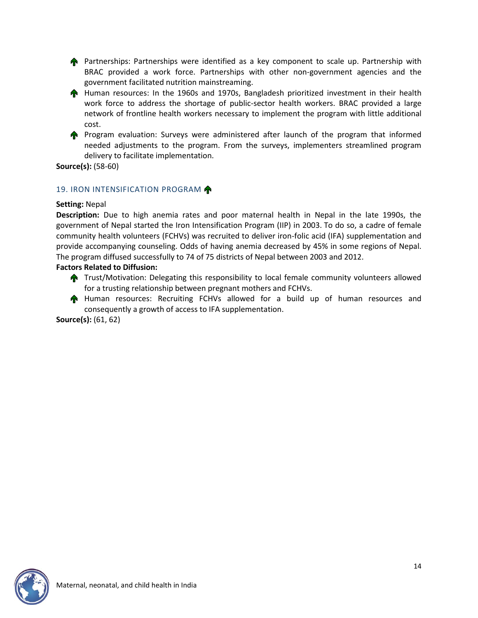**Partnerships: Partnerships were identified as a key component to scale up. Partnership with** BRAC provided a work force. Partnerships with other non-government agencies and the government facilitated nutrition mainstreaming.

**A** Human resources: In the 1960s and 1970s, Bangladesh prioritized investment in their health work force to address the shortage of public-sector health workers. BRAC provided a large network of frontline health workers necessary to implement the program with little additional cost.

**Program evaluation: Surveys were administered after launch of the program that informed** needed adjustments to the program. From the surveys, implementers streamlined program delivery to facilitate implementation.

**Source(s):** (58-60)

## 19. IRON INTENSIFICATION PROGRAM

### **Setting:** Nepal

**Description:** Due to high anemia rates and poor maternal health in Nepal in the late 1990s, the government of Nepal started the Iron Intensification Program (IIP) in 2003. To do so, a cadre of female community health volunteers (FCHVs) was recruited to deliver iron-folic acid (IFA) supplementation and provide accompanying counseling. Odds of having anemia decreased by 45% in some regions of Nepal. The program diffused successfully to 74 of 75 districts of Nepal between 2003 and 2012.

### **Factors Related to Diffusion:**

- **T** Trust/Motivation: Delegating this responsibility to local female community volunteers allowed for a trusting relationship between pregnant mothers and FCHVs.
- Human resources: Recruiting FCHVs allowed for a build up of human resources and consequently a growth of access to IFA supplementation.

**Source(s):** (61, 62)

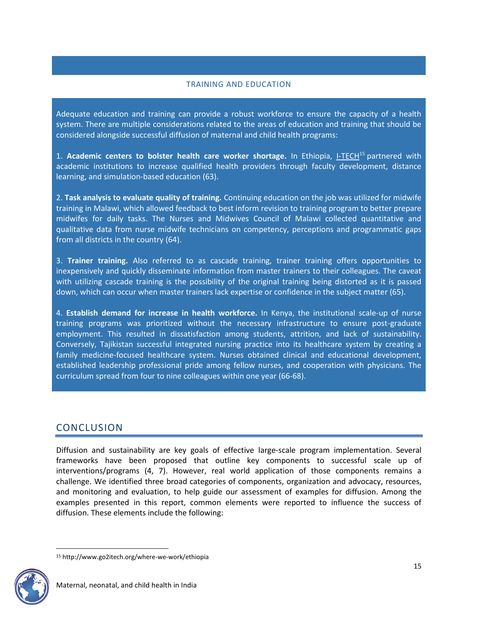### TRAINING AND EDUCATION

Adequate education and training can provide a robust workforce to ensure the capacity of a health system. There are multiple considerations related to the areas of education and training that should be considered alongside successful diffusion of maternal and child health programs:

1. **Academic centers to bolster health care worker shortage.** In Ethiopia, [I-TECH](http://www.go2itech.org/where-we-work/ethiopia)<sup>15</sup> partnered with academic institutions to increase qualified health providers through faculty development, distance learning, and simulation-based education (63).

2. **Task analysis to evaluate quality of training.** Continuing education on the job was utilized for midwife training in Malawi, which allowed feedback to best inform revision to training program to better prepare midwifes for daily tasks. The Nurses and Midwives Council of Malawi collected quantitative and qualitative data from nurse midwife technicians on competency, perceptions and programmatic gaps from all districts in the country (64).

3. **Trainer training.** Also referred to as cascade training, trainer training offers opportunities to inexpensively and quickly disseminate information from master trainers to their colleagues. The caveat with utilizing cascade training is the possibility of the original training being distorted as it is passed down, which can occur when master trainers lack expertise or confidence in the subject matter (65).

4. **Establish demand for increase in health workforce.** In Kenya, the institutional scale-up of nurse training programs was prioritized without the necessary infrastructure to ensure post-graduate employment. This resulted in dissatisfaction among students, attrition, and lack of sustainability. Conversely, Tajikistan successful integrated nursing practice into its healthcare system by creating a family medicine-focused healthcare system. Nurses obtained clinical and educational development, established leadership professional pride among fellow nurses, and cooperation with physicians. The curriculum spread from four to nine colleagues within one year (66-68).

## **CONCLUSION**

Diffusion and sustainability are key goals of effective large-scale program implementation. Several frameworks have been proposed that outline key components to successful scale up of interventions/programs (4, 7). However, real world application of those components remains a challenge. We identified three broad categories of components, organization and advocacy, resources, and monitoring and evaluation, to help guide our assessment of examples for diffusion. Among the examples presented in this report, common elements were reported to influence the success of diffusion. These elements include the following:

<sup>15</sup> http://www.go2itech.org/where-we-work/ethiopia

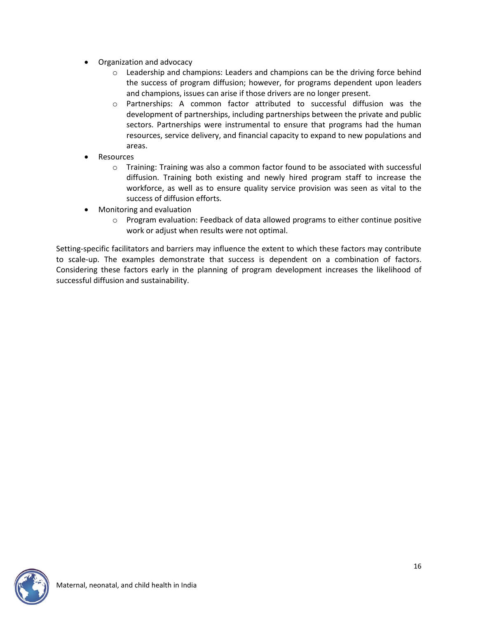- Organization and advocacy
	- o Leadership and champions: Leaders and champions can be the driving force behind the success of program diffusion; however, for programs dependent upon leaders and champions, issues can arise if those drivers are no longer present.
	- o Partnerships: A common factor attributed to successful diffusion was the development of partnerships, including partnerships between the private and public sectors. Partnerships were instrumental to ensure that programs had the human resources, service delivery, and financial capacity to expand to new populations and areas.
- Resources
	- o Training: Training was also a common factor found to be associated with successful diffusion. Training both existing and newly hired program staff to increase the workforce, as well as to ensure quality service provision was seen as vital to the success of diffusion efforts.
- Monitoring and evaluation
	- $\circ$  Program evaluation: Feedback of data allowed programs to either continue positive work or adjust when results were not optimal.

Setting-specific facilitators and barriers may influence the extent to which these factors may contribute to scale-up. The examples demonstrate that success is dependent on a combination of factors. Considering these factors early in the planning of program development increases the likelihood of successful diffusion and sustainability.

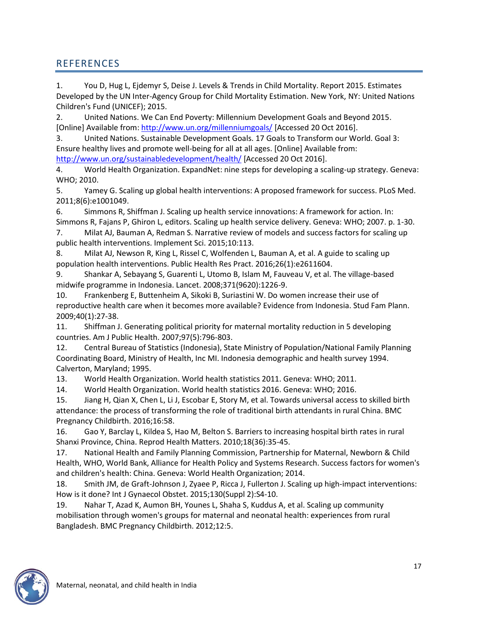# REFERENCES

1. You D, Hug L, Ejdemyr S, Deise J. Levels & Trends in Child Mortality. Report 2015. Estimates Developed by the UN Inter-Agency Group for Child Mortality Estimation. New York, NY: United Nations Children's Fund (UNICEF); 2015.

2. United Nations. We Can End Poverty: Millennium Development Goals and Beyond 2015. [Online] Available from:<http://www.un.org/millenniumgoals/> [Accessed 20 Oct 2016].

3. United Nations. Sustainable Development Goals. 17 Goals to Transform our World. Goal 3: Ensure healthy lives and promote well-being for all at all ages. [Online] Available from:

<http://www.un.org/sustainabledevelopment/health/> [Accessed 20 Oct 2016].

4. World Health Organization. ExpandNet: nine steps for developing a scaling-up strategy. Geneva: WHO; 2010.

5. Yamey G. Scaling up global health interventions: A proposed framework for success. PLoS Med. 2011;8(6):e1001049.

6. Simmons R, Shiffman J. Scaling up health service innovations: A framework for action. In: Simmons R, Fajans P, Ghiron L, editors. Scaling up health service delivery. Geneva: WHO; 2007. p. 1-30.

7. Milat AJ, Bauman A, Redman S. Narrative review of models and success factors for scaling up public health interventions. Implement Sci. 2015;10:113.

8. Milat AJ, Newson R, King L, Rissel C, Wolfenden L, Bauman A, et al. A guide to scaling up population health interventions. Public Health Res Pract. 2016;26(1):e2611604.

9. Shankar A, Sebayang S, Guarenti L, Utomo B, Islam M, Fauveau V, et al. The village-based midwife programme in Indonesia. Lancet. 2008;371(9620):1226-9.

10. Frankenberg E, Buttenheim A, Sikoki B, Suriastini W. Do women increase their use of reproductive health care when it becomes more available? Evidence from Indonesia. Stud Fam Plann. 2009;40(1):27-38.

11. Shiffman J. Generating political priority for maternal mortality reduction in 5 developing countries. Am J Public Health. 2007;97(5):796-803.

12. Central Bureau of Statistics (Indonesia), State Ministry of Population/National Family Planning Coordinating Board, Ministry of Health, Inc MI. Indonesia demographic and health survey 1994. Calverton, Maryland; 1995.

13. World Health Organization. World health statistics 2011. Geneva: WHO; 2011.

14. World Health Organization. World health statistics 2016. Geneva: WHO; 2016.

15. Jiang H, Qian X, Chen L, Li J, Escobar E, Story M, et al. Towards universal access to skilled birth attendance: the process of transforming the role of traditional birth attendants in rural China. BMC Pregnancy Childbirth. 2016;16:58.

16. Gao Y, Barclay L, Kildea S, Hao M, Belton S. Barriers to increasing hospital birth rates in rural Shanxi Province, China. Reprod Health Matters. 2010;18(36):35-45.

17. National Health and Family Planning Commission, Partnership for Maternal, Newborn & Child Health, WHO, World Bank, Alliance for Health Policy and Systems Research. Success factors for women's and children's health: China. Geneva: World Health Organization; 2014.

18. Smith JM, de Graft-Johnson J, Zyaee P, Ricca J, Fullerton J. Scaling up high-impact interventions: How is it done? Int J Gynaecol Obstet. 2015;130(Suppl 2):S4-10.

19. Nahar T, Azad K, Aumon BH, Younes L, Shaha S, Kuddus A, et al. Scaling up community mobilisation through women's groups for maternal and neonatal health: experiences from rural Bangladesh. BMC Pregnancy Childbirth. 2012;12:5.

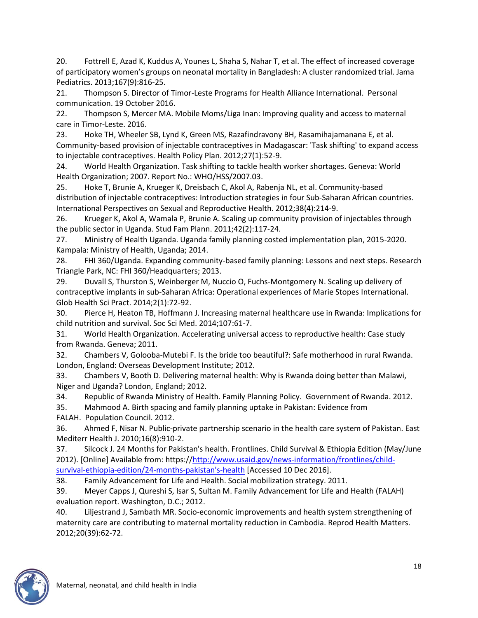20. Fottrell E, Azad K, Kuddus A, Younes L, Shaha S, Nahar T, et al. The effect of increased coverage of participatory women's groups on neonatal mortality in Bangladesh: A cluster randomized trial. Jama Pediatrics. 2013;167(9):816-25.

21. Thompson S. Director of Timor-Leste Programs for Health Alliance International. Personal communication. 19 October 2016.

22. Thompson S, Mercer MA. Mobile Moms/Liga Inan: Improving quality and access to maternal care in Timor-Leste. 2016.

23. Hoke TH, Wheeler SB, Lynd K, Green MS, Razafindravony BH, Rasamihajamanana E, et al. Community-based provision of injectable contraceptives in Madagascar: 'Task shifting' to expand access to injectable contraceptives. Health Policy Plan. 2012;27(1):52-9.

24. World Health Organization. Task shifting to tackle health worker shortages. Geneva: World Health Organization; 2007. Report No.: WHO/HSS/2007.03.

25. Hoke T, Brunie A, Krueger K, Dreisbach C, Akol A, Rabenja NL, et al. Community-based distribution of injectable contraceptives: Introduction strategies in four Sub-Saharan African countries. International Perspectives on Sexual and Reproductive Health. 2012;38(4):214-9.

26. Krueger K, Akol A, Wamala P, Brunie A. Scaling up community provision of injectables through the public sector in Uganda. Stud Fam Plann. 2011;42(2):117-24.

27. Ministry of Health Uganda. Uganda family planning costed implementation plan, 2015-2020. Kampala: Ministry of Health, Uganda; 2014.

28. FHI 360/Uganda. Expanding community-based family planning: Lessons and next steps. Research Triangle Park, NC: FHI 360/Headquarters; 2013.

29. Duvall S, Thurston S, Weinberger M, Nuccio O, Fuchs-Montgomery N. Scaling up delivery of contraceptive implants in sub-Saharan Africa: Operational experiences of Marie Stopes International. Glob Health Sci Pract. 2014;2(1):72-92.

30. Pierce H, Heaton TB, Hoffmann J. Increasing maternal healthcare use in Rwanda: Implications for child nutrition and survival. Soc Sci Med. 2014;107:61-7.

31. World Health Organization. Accelerating universal access to reproductive health: Case study from Rwanda. Geneva; 2011.

32. Chambers V, Golooba-Mutebi F. Is the bride too beautiful?: Safe motherhood in rural Rwanda. London, England: Overseas Development Institute; 2012.

33. Chambers V, Booth D. Delivering maternal health: Why is Rwanda doing better than Malawi, Niger and Uganda? London, England; 2012.

34. Republic of Rwanda Ministry of Health. Family Planning Policy. Government of Rwanda. 2012.

35. Mahmood A. Birth spacing and family planning uptake in Pakistan: Evidence from

FALAH. Population Council. 2012.

36. Ahmed F, Nisar N. Public-private partnership scenario in the health care system of Pakistan. East Mediterr Health J. 2010;16(8):910-2.

37. Silcock J. 24 Months for Pakistan's health. Frontlines. Child Survival & Ethiopia Edition (May/June 2012). [Online] Available from: https:/[/http://www.usaid.gov/news-information/frontlines/child](http://www.usaid.gov/news-information/frontlines/child-survival-ethiopia-edition/24-months-pakistan)[survival-ethiopia-edition/24-months-pakistan's-health](http://www.usaid.gov/news-information/frontlines/child-survival-ethiopia-edition/24-months-pakistan) [Accessed 10 Dec 2016].

38. Family Advancement for Life and Health. Social mobilization strategy. 2011.

39. Meyer Capps J, Qureshi S, Isar S, Sultan M. Family Advancement for Life and Health (FALAH) evaluation report. Washington, D.C.; 2012.

40. Liljestrand J, Sambath MR. Socio-economic improvements and health system strengthening of maternity care are contributing to maternal mortality reduction in Cambodia. Reprod Health Matters. 2012;20(39):62-72.

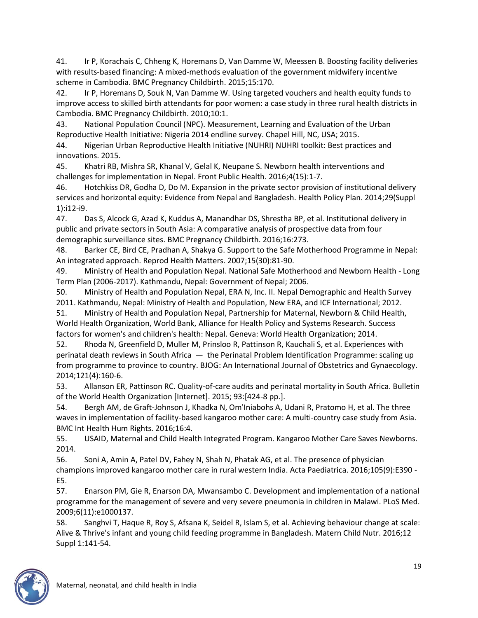41. Ir P, Korachais C, Chheng K, Horemans D, Van Damme W, Meessen B. Boosting facility deliveries with results-based financing: A mixed-methods evaluation of the government midwifery incentive scheme in Cambodia. BMC Pregnancy Childbirth. 2015;15:170.

42. Ir P, Horemans D, Souk N, Van Damme W. Using targeted vouchers and health equity funds to improve access to skilled birth attendants for poor women: a case study in three rural health districts in Cambodia. BMC Pregnancy Childbirth. 2010;10:1.

43. National Population Council (NPC). Measurement, Learning and Evaluation of the Urban Reproductive Health Initiative: Nigeria 2014 endline survey. Chapel Hill, NC, USA; 2015.

44. Nigerian Urban Reproductive Health Initiative (NUHRI) NUHRI toolkit: Best practices and innovations. 2015.

45. Khatri RB, Mishra SR, Khanal V, Gelal K, Neupane S. Newborn health interventions and challenges for implementation in Nepal. Front Public Health. 2016;4(15):1-7.

46. Hotchkiss DR, Godha D, Do M. Expansion in the private sector provision of institutional delivery services and horizontal equity: Evidence from Nepal and Bangladesh. Health Policy Plan. 2014;29(Suppl 1):i12-i9.

47. Das S, Alcock G, Azad K, Kuddus A, Manandhar DS, Shrestha BP, et al. Institutional delivery in public and private sectors in South Asia: A comparative analysis of prospective data from four demographic surveillance sites. BMC Pregnancy Childbirth. 2016;16:273.

48. Barker CE, Bird CE, Pradhan A, Shakya G. Support to the Safe Motherhood Programme in Nepal: An integrated approach. Reprod Health Matters. 2007;15(30):81-90.

49. Ministry of Health and Population Nepal. National Safe Motherhood and Newborn Health - Long Term Plan (2006-2017). Kathmandu, Nepal: Government of Nepal; 2006.

50. Ministry of Health and Population Nepal, ERA N, Inc. II. Nepal Demographic and Health Survey 2011. Kathmandu, Nepal: Ministry of Health and Population, New ERA, and ICF International; 2012.

51. Ministry of Health and Population Nepal, Partnership for Maternal, Newborn & Child Health, World Health Organization, World Bank, Alliance for Health Policy and Systems Research. Success factors for women's and children's health: Nepal. Geneva: World Health Organization; 2014.

52. Rhoda N, Greenfield D, Muller M, Prinsloo R, Pattinson R, Kauchali S, et al. Experiences with perinatal death reviews in South Africa — the Perinatal Problem Identification Programme: scaling up from programme to province to country. BJOG: An International Journal of Obstetrics and Gynaecology. 2014;121(4):160-6.

53. Allanson ER, Pattinson RC. Quality-of-care audits and perinatal mortality in South Africa. Bulletin of the World Health Organization [Internet]. 2015; 93:[424-8 pp.].

54. Bergh AM, de Graft-Johnson J, Khadka N, Om'Iniabohs A, Udani R, Pratomo H, et al. The three waves in implementation of facility-based kangaroo mother care: A multi-country case study from Asia. BMC Int Health Hum Rights. 2016;16:4.

55. USAID, Maternal and Child Health Integrated Program. Kangaroo Mother Care Saves Newborns. 2014.

56. Soni A, Amin A, Patel DV, Fahey N, Shah N, Phatak AG, et al. The presence of physician champions improved kangaroo mother care in rural western India. Acta Paediatrica. 2016;105(9):E390 - E5.

57. Enarson PM, Gie R, Enarson DA, Mwansambo C. Development and implementation of a national programme for the management of severe and very severe pneumonia in children in Malawi. PLoS Med. 2009;6(11):e1000137.

58. Sanghvi T, Haque R, Roy S, Afsana K, Seidel R, Islam S, et al. Achieving behaviour change at scale: Alive & Thrive's infant and young child feeding programme in Bangladesh. Matern Child Nutr. 2016;12 Suppl 1:141-54.